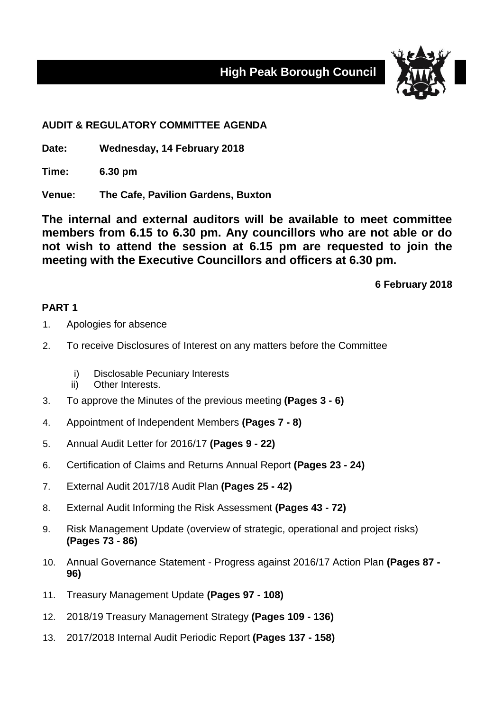**High Peak Borough Council**



## **AUDIT & REGULATORY COMMITTEE AGENDA**

**Date: Wednesday, 14 February 2018**

**Time: 6.30 pm**

**Venue: The Cafe, Pavilion Gardens, Buxton**

**The internal and external auditors will be available to meet committee members from 6.15 to 6.30 pm. Any councillors who are not able or do not wish to attend the session at 6.15 pm are requested to join the meeting with the Executive Councillors and officers at 6.30 pm.**

**6 February 2018**

## **PART 1**

- 1. Apologies for absence
- 2. To receive Disclosures of Interest on any matters before the Committee
	- i) Disclosable Pecuniary Interests
	- ii) Other Interests.
- 3. To approve the Minutes of the previous meeting **(Pages 3 - 6)**
- 4. Appointment of Independent Members **(Pages 7 - 8)**
- 5. Annual Audit Letter for 2016/17 **(Pages 9 - 22)**
- 6. Certification of Claims and Returns Annual Report **(Pages 23 - 24)**
- 7. External Audit 2017/18 Audit Plan **(Pages 25 - 42)**
- 8. External Audit Informing the Risk Assessment **(Pages 43 - 72)**
- 9. Risk Management Update (overview of strategic, operational and project risks) **(Pages 73 - 86)**
- 10. Annual Governance Statement Progress against 2016/17 Action Plan **(Pages 87 - 96)**
- 11. Treasury Management Update **(Pages 97 - 108)**
- 12. 2018/19 Treasury Management Strategy **(Pages 109 - 136)**
- 13. 2017/2018 Internal Audit Periodic Report **(Pages 137 - 158)**